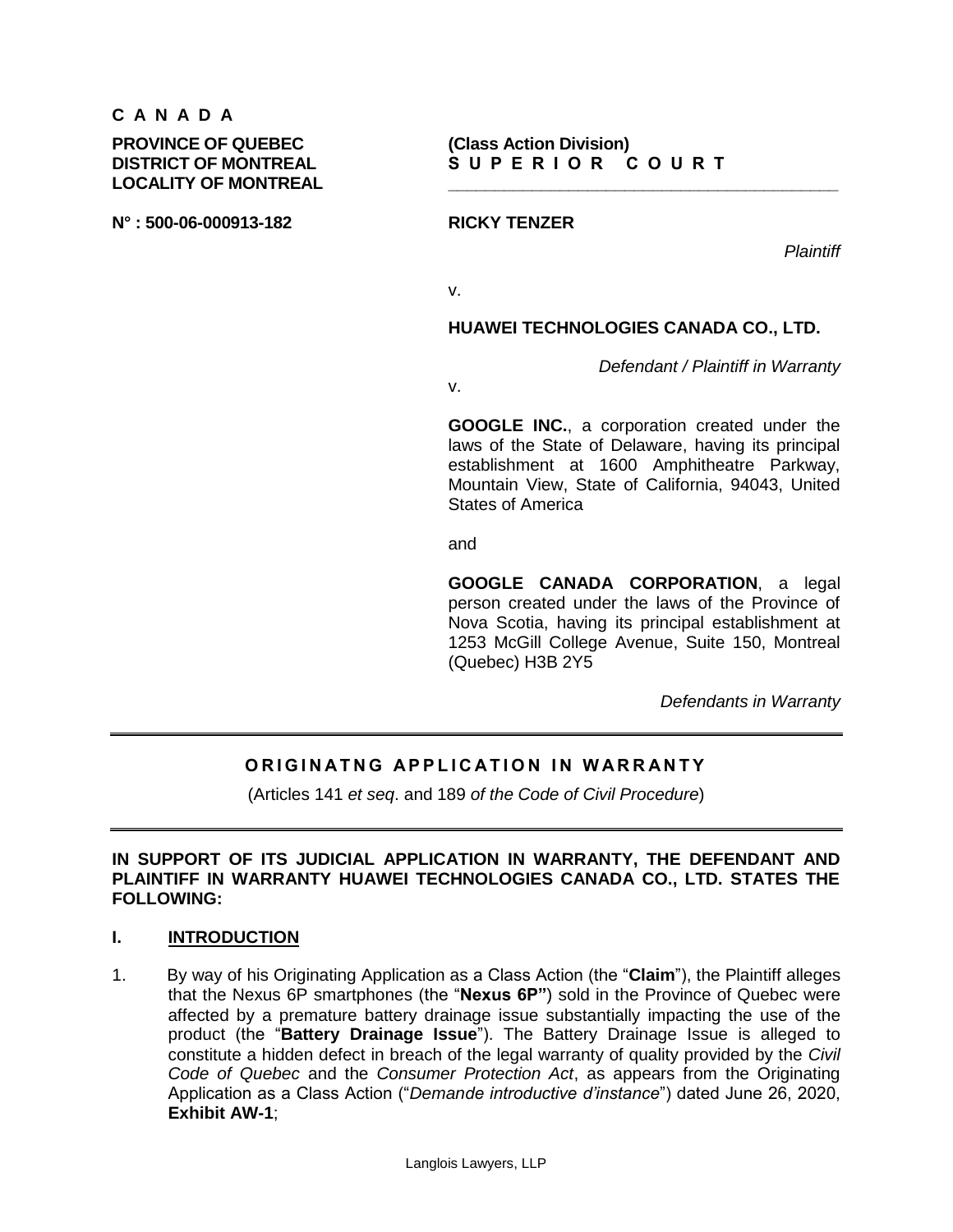# **C A N A D A**

**PROVINCE OF QUEBEC (Class Action Division) LOCALITY OF MONTREAL \_\_\_\_\_\_\_\_\_\_\_\_\_\_\_\_\_\_\_\_\_\_\_\_\_\_\_\_\_\_\_\_\_\_\_\_\_\_\_\_\_\_**

**N° : 500-06-000913-182 RICKY TENZER**

*Plaintiff*

v.

**HUAWEI TECHNOLOGIES CANADA CO., LTD.**

*Defendant / Plaintiff in Warranty*

v.

**GOOGLE INC.**, a corporation created under the laws of the State of Delaware, having its principal establishment at 1600 Amphitheatre Parkway, Mountain View, State of California, 94043, United States of America

and

**GOOGLE CANADA CORPORATION**, a legal person created under the laws of the Province of Nova Scotia, having its principal establishment at 1253 McGill College Avenue, Suite 150, Montreal (Quebec) H3B 2Y5

*Defendants in Warranty*

# **ORIGINATNG APPLICATION IN WARRANTY**

(Articles 141 *et seq*. and 189 *of the Code of Civil Procedure*)

### **IN SUPPORT OF ITS JUDICIAL APPLICATION IN WARRANTY, THE DEFENDANT AND PLAINTIFF IN WARRANTY HUAWEI TECHNOLOGIES CANADA CO., LTD. STATES THE FOLLOWING:**

#### **I. INTRODUCTION**

1. By way of his Originating Application as a Class Action (the "**Claim**"), the Plaintiff alleges that the Nexus 6P smartphones (the "**Nexus 6P"**) sold in the Province of Quebec were affected by a premature battery drainage issue substantially impacting the use of the product (the "**Battery Drainage Issue**"). The Battery Drainage Issue is alleged to constitute a hidden defect in breach of the legal warranty of quality provided by the *Civil Code of Quebec* and the *Consumer Protection Act*, as appears from the Originating Application as a Class Action ("*Demande introductive d'instance*") dated June 26, 2020, **Exhibit AW-1**;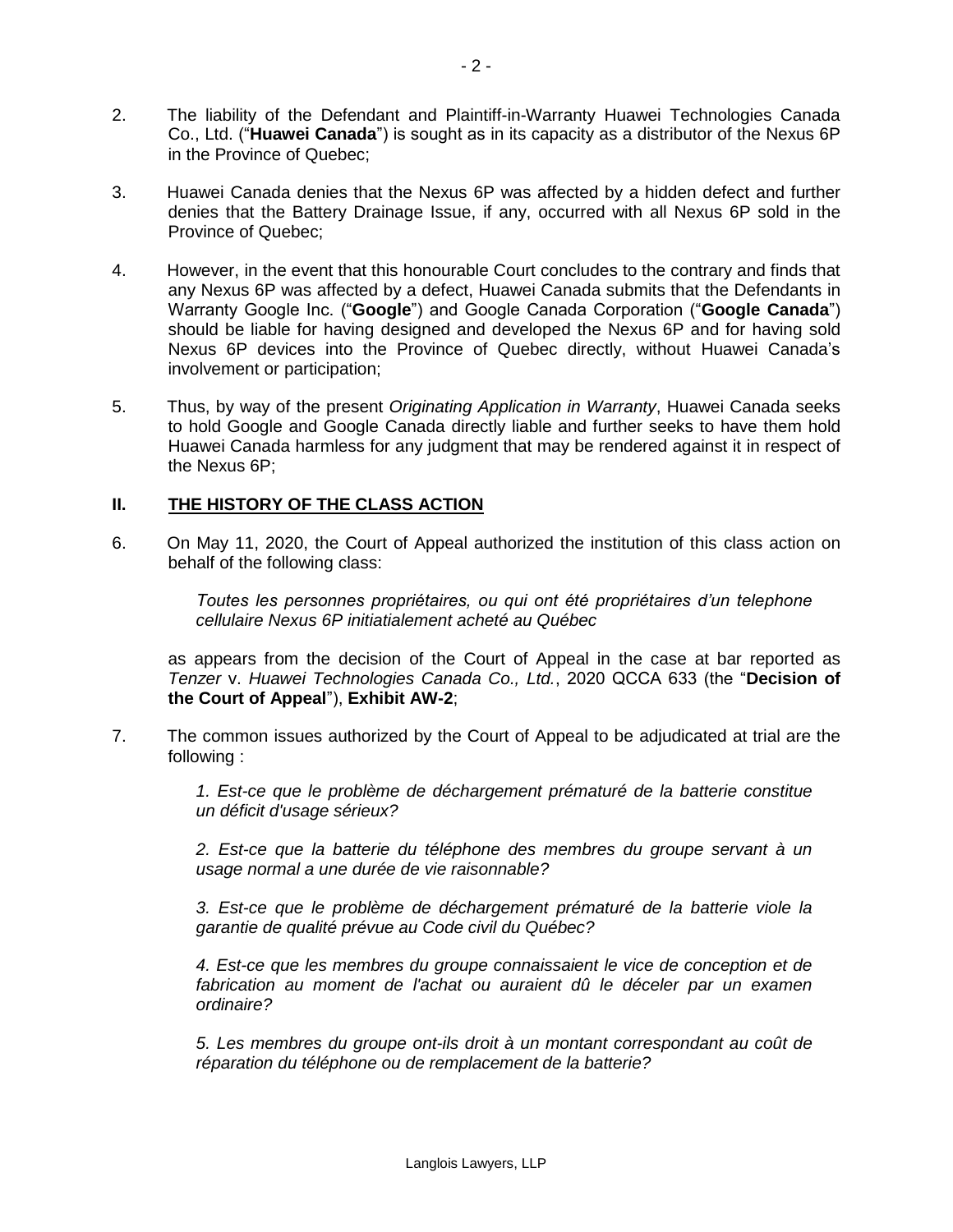- 2. The liability of the Defendant and Plaintiff-in-Warranty Huawei Technologies Canada Co., Ltd. ("**Huawei Canada**") is sought as in its capacity as a distributor of the Nexus 6P in the Province of Quebec;
- 3. Huawei Canada denies that the Nexus 6P was affected by a hidden defect and further denies that the Battery Drainage Issue, if any, occurred with all Nexus 6P sold in the Province of Quebec;
- 4. However, in the event that this honourable Court concludes to the contrary and finds that any Nexus 6P was affected by a defect, Huawei Canada submits that the Defendants in Warranty Google Inc. ("**Google**") and Google Canada Corporation ("**Google Canada**") should be liable for having designed and developed the Nexus 6P and for having sold Nexus 6P devices into the Province of Quebec directly, without Huawei Canada's involvement or participation;
- 5. Thus, by way of the present *Originating Application in Warranty*, Huawei Canada seeks to hold Google and Google Canada directly liable and further seeks to have them hold Huawei Canada harmless for any judgment that may be rendered against it in respect of the Nexus 6P;

# **II. THE HISTORY OF THE CLASS ACTION**

6. On May 11, 2020, the Court of Appeal authorized the institution of this class action on behalf of the following class:

> *Toutes les personnes propriétaires, ou qui ont été propriétaires d'un telephone cellulaire Nexus 6P initiatialement acheté au Québec*

as appears from the decision of the Court of Appeal in the case at bar reported as *Tenzer* v. *Huawei Technologies Canada Co., Ltd.*, 2020 QCCA 633 (the "**Decision of the Court of Appeal**"), **Exhibit AW-2**;

7. The common issues authorized by the Court of Appeal to be adjudicated at trial are the following :

> *1. Est-ce que le problème de déchargement prématuré de la batterie constitue un déficit d'usage sérieux?*

> *2. Est-ce que la batterie du téléphone des membres du groupe servant à un usage normal a une durée de vie raisonnable?*

> *3. Est-ce que le problème de déchargement prématuré de la batterie viole la garantie de qualité prévue au Code civil du Québec?*

> *4. Est-ce que les membres du groupe connaissaient le vice de conception et de fabrication au moment de l'achat ou auraient dû le déceler par un examen ordinaire?*

> *5. Les membres du groupe ont-ils droit à un montant correspondant au coût de réparation du téléphone ou de remplacement de la batterie?*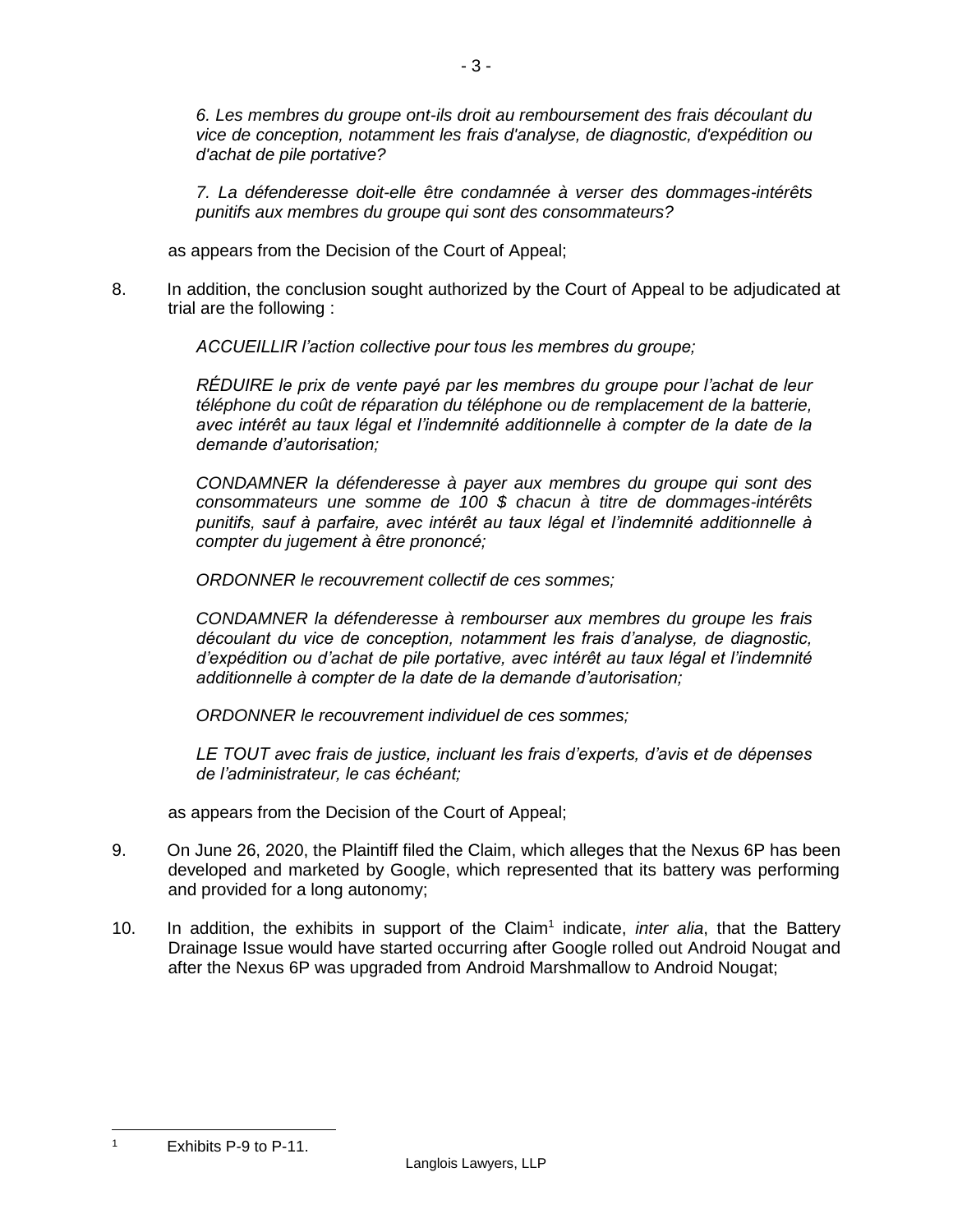*6. Les membres du groupe ont-ils droit au remboursement des frais découlant du vice de conception, notamment les frais d'analyse, de diagnostic, d'expédition ou d'achat de pile portative?*

*7. La défenderesse doit-elle être condamnée à verser des dommages-intérêts punitifs aux membres du groupe qui sont des consommateurs?*

as appears from the Decision of the Court of Appeal;

8. In addition, the conclusion sought authorized by the Court of Appeal to be adjudicated at trial are the following :

*ACCUEILLIR l'action collective pour tous les membres du groupe;*

*RÉDUIRE le prix de vente payé par les membres du groupe pour l'achat de leur téléphone du coût de réparation du téléphone ou de remplacement de la batterie, avec intérêt au taux légal et l'indemnité additionnelle à compter de la date de la demande d'autorisation;*

*CONDAMNER la défenderesse à payer aux membres du groupe qui sont des consommateurs une somme de 100 \$ chacun à titre de dommages-intérêts punitifs, sauf à parfaire, avec intérêt au taux légal et l'indemnité additionnelle à compter du jugement à être prononcé;*

*ORDONNER le recouvrement collectif de ces sommes;*

*CONDAMNER la défenderesse à rembourser aux membres du groupe les frais découlant du vice de conception, notamment les frais d'analyse, de diagnostic, d'expédition ou d'achat de pile portative, avec intérêt au taux légal et l'indemnité additionnelle à compter de la date de la demande d'autorisation;*

*ORDONNER le recouvrement individuel de ces sommes;*

*LE TOUT avec frais de justice, incluant les frais d'experts, d'avis et de dépenses de l'administrateur, le cas échéant;*

as appears from the Decision of the Court of Appeal;

- 9. On June 26, 2020, the Plaintiff filed the Claim, which alleges that the Nexus 6P has been developed and marketed by Google, which represented that its battery was performing and provided for a long autonomy;
- 10. In addition, the exhibits in support of the Claim<sup>1</sup> indicate, *inter alia*, that the Battery Drainage Issue would have started occurring after Google rolled out Android Nougat and after the Nexus 6P was upgraded from Android Marshmallow to Android Nougat;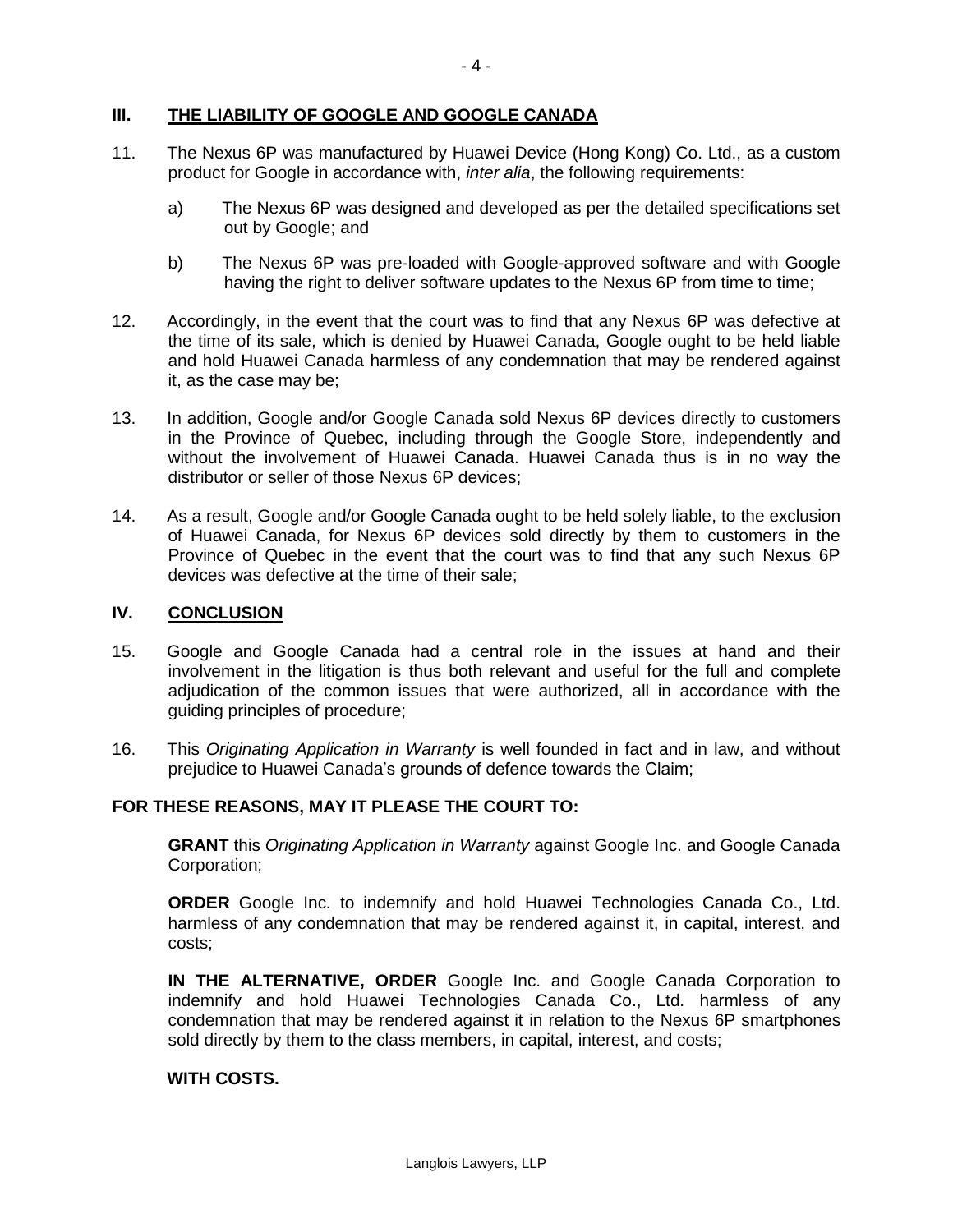# **III. THE LIABILITY OF GOOGLE AND GOOGLE CANADA**

- 11. The Nexus 6P was manufactured by Huawei Device (Hong Kong) Co. Ltd., as a custom product for Google in accordance with, *inter alia*, the following requirements:
	- a) The Nexus 6P was designed and developed as per the detailed specifications set out by Google; and
	- b) The Nexus 6P was pre-loaded with Google-approved software and with Google having the right to deliver software updates to the Nexus 6P from time to time;
- 12. Accordingly, in the event that the court was to find that any Nexus 6P was defective at the time of its sale, which is denied by Huawei Canada, Google ought to be held liable and hold Huawei Canada harmless of any condemnation that may be rendered against it, as the case may be;
- 13. In addition, Google and/or Google Canada sold Nexus 6P devices directly to customers in the Province of Quebec, including through the Google Store, independently and without the involvement of Huawei Canada. Huawei Canada thus is in no way the distributor or seller of those Nexus 6P devices;
- 14. As a result, Google and/or Google Canada ought to be held solely liable, to the exclusion of Huawei Canada, for Nexus 6P devices sold directly by them to customers in the Province of Quebec in the event that the court was to find that any such Nexus 6P devices was defective at the time of their sale;

#### **IV. CONCLUSION**

- 15. Google and Google Canada had a central role in the issues at hand and their involvement in the litigation is thus both relevant and useful for the full and complete adjudication of the common issues that were authorized, all in accordance with the guiding principles of procedure;
- 16. This *Originating Application in Warranty* is well founded in fact and in law, and without prejudice to Huawei Canada's grounds of defence towards the Claim;

#### **FOR THESE REASONS, MAY IT PLEASE THE COURT TO:**

**GRANT** this *Originating Application in Warranty* against Google Inc. and Google Canada Corporation;

**ORDER** Google Inc. to indemnify and hold Huawei Technologies Canada Co., Ltd. harmless of any condemnation that may be rendered against it, in capital, interest, and costs;

**IN THE ALTERNATIVE, ORDER** Google Inc. and Google Canada Corporation to indemnify and hold Huawei Technologies Canada Co., Ltd. harmless of any condemnation that may be rendered against it in relation to the Nexus 6P smartphones sold directly by them to the class members, in capital, interest, and costs;

### **WITH COSTS.**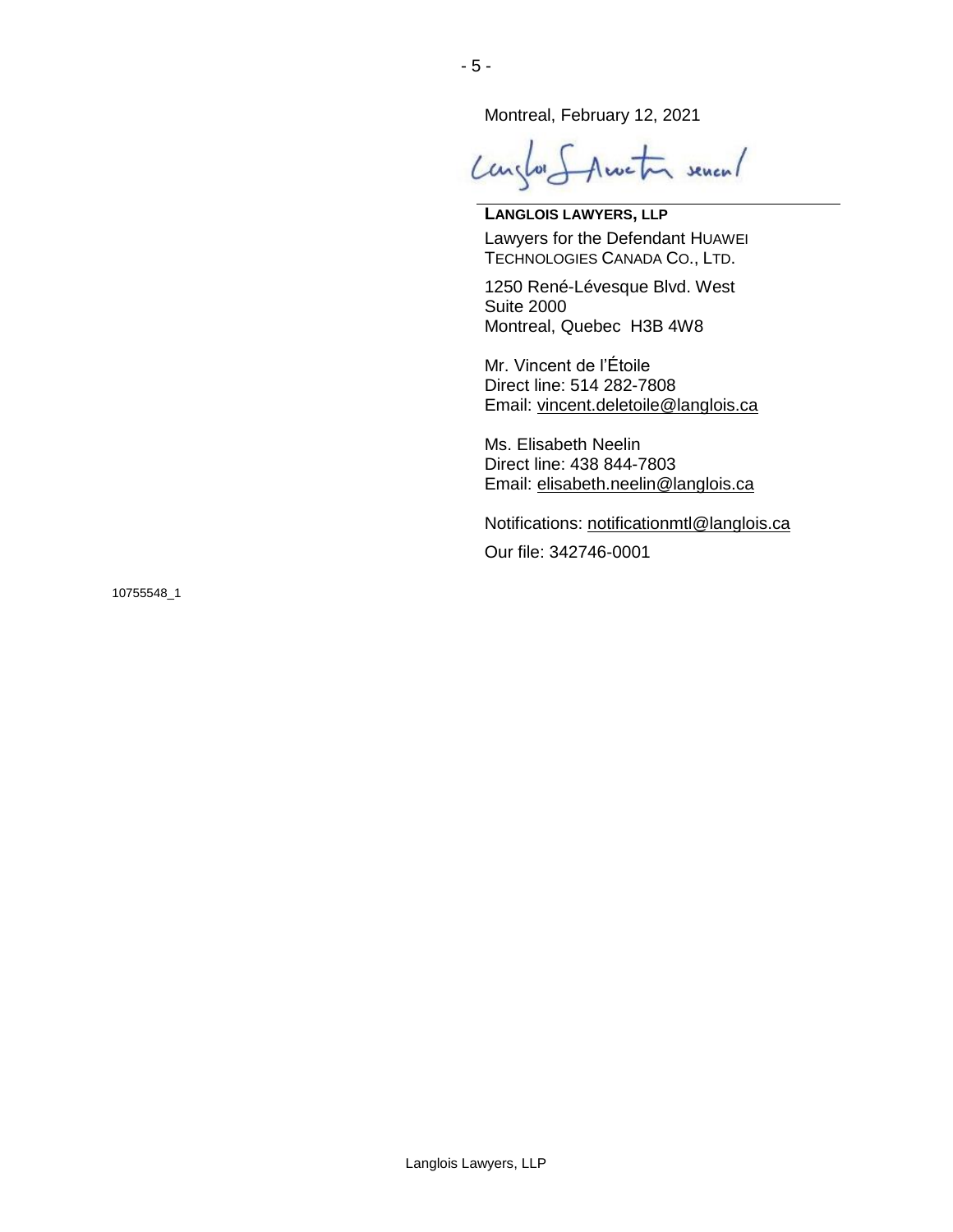Montreal, February 12, 2021

Langlor Structor sevent

**LANGLOIS LAWYERS, LLP** Lawyers for the Defendant HUAWEI TECHNOLOGIES CANADA CO., LTD.

1250 René-Lévesque Blvd. West Suite 2000 Montreal, Quebec H3B 4W8

Mr. Vincent de l'Étoile Direct line: 514 282-7808 Email: [vincent.deletoile@langlois.ca](mailto:vincent.deletoile@langlois.ca)

Ms. Elisabeth Neelin Direct line: 438 844-7803 Email: [elisabeth.neelin@langlois.ca](mailto:elisabeth.neelin@langlois.ca)

Notifications: [notificationmtl@langlois.ca](mailto:notificationmtl@langlois.ca)

Our file: 342746-0001

10755548\_1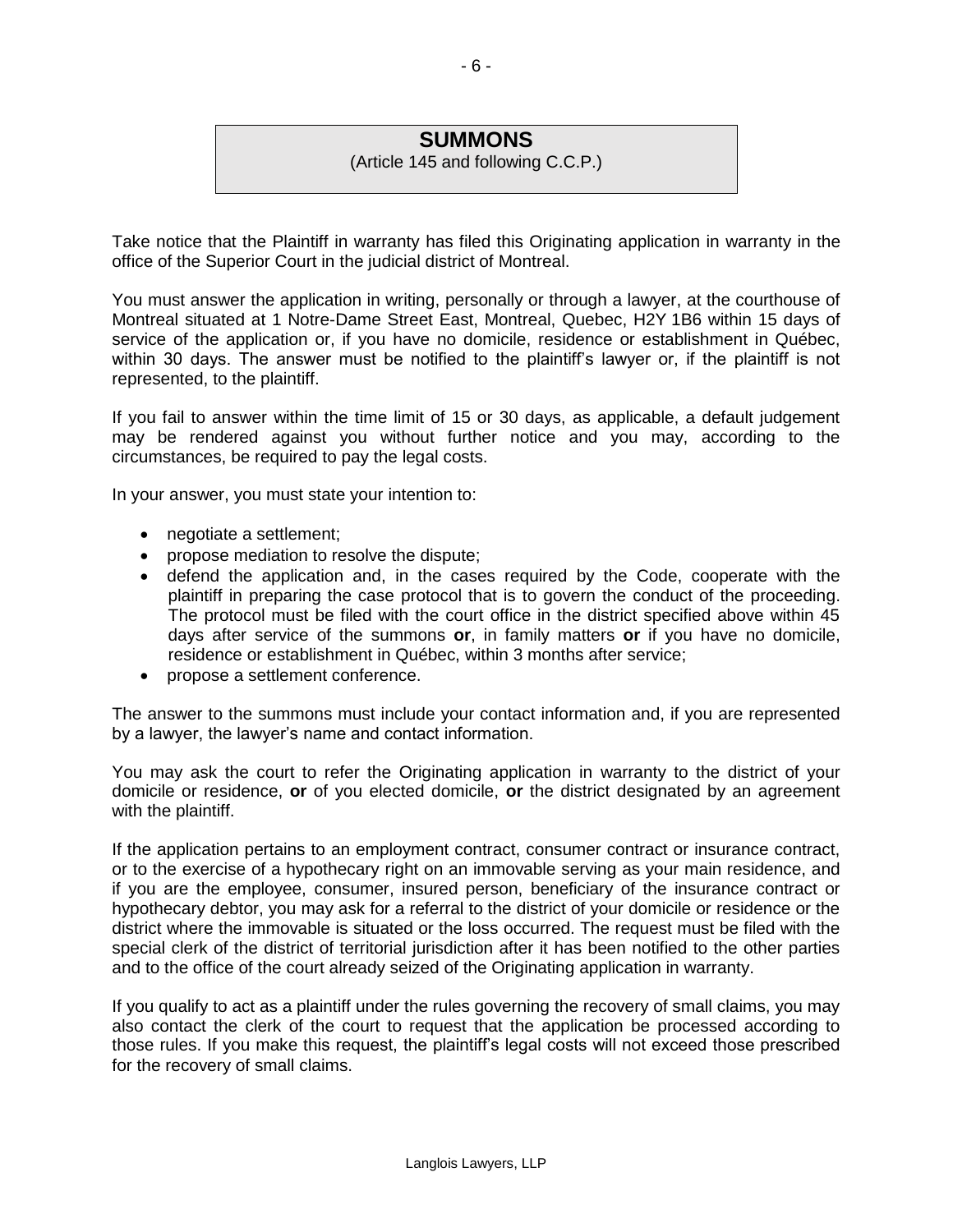# **SUMMONS**

(Article 145 and following C.C.P.)

Take notice that the Plaintiff in warranty has filed this Originating application in warranty in the office of the Superior Court in the judicial district of Montreal.

You must answer the application in writing, personally or through a lawyer, at the courthouse of Montreal situated at 1 Notre-Dame Street East, Montreal, Quebec, H2Y 1B6 within 15 days of service of the application or, if you have no domicile, residence or establishment in Québec, within 30 days. The answer must be notified to the plaintiff's lawyer or, if the plaintiff is not represented, to the plaintiff.

If you fail to answer within the time limit of 15 or 30 days, as applicable, a default judgement may be rendered against you without further notice and you may, according to the circumstances, be required to pay the legal costs.

In your answer, you must state your intention to:

- negotiate a settlement;
- propose mediation to resolve the dispute;
- defend the application and, in the cases required by the Code, cooperate with the plaintiff in preparing the case protocol that is to govern the conduct of the proceeding. The protocol must be filed with the court office in the district specified above within 45 days after service of the summons **or**, in family matters **or** if you have no domicile, residence or establishment in Québec, within 3 months after service;
- propose a settlement conference.

The answer to the summons must include your contact information and, if you are represented by a lawyer, the lawyer's name and contact information.

You may ask the court to refer the Originating application in warranty to the district of your domicile or residence, **or** of you elected domicile, **or** the district designated by an agreement with the plaintiff.

If the application pertains to an employment contract, consumer contract or insurance contract, or to the exercise of a hypothecary right on an immovable serving as your main residence, and if you are the employee, consumer, insured person, beneficiary of the insurance contract or hypothecary debtor, you may ask for a referral to the district of your domicile or residence or the district where the immovable is situated or the loss occurred. The request must be filed with the special clerk of the district of territorial jurisdiction after it has been notified to the other parties and to the office of the court already seized of the Originating application in warranty.

If you qualify to act as a plaintiff under the rules governing the recovery of small claims, you may also contact the clerk of the court to request that the application be processed according to those rules. If you make this request, the plaintiff's legal costs will not exceed those prescribed for the recovery of small claims.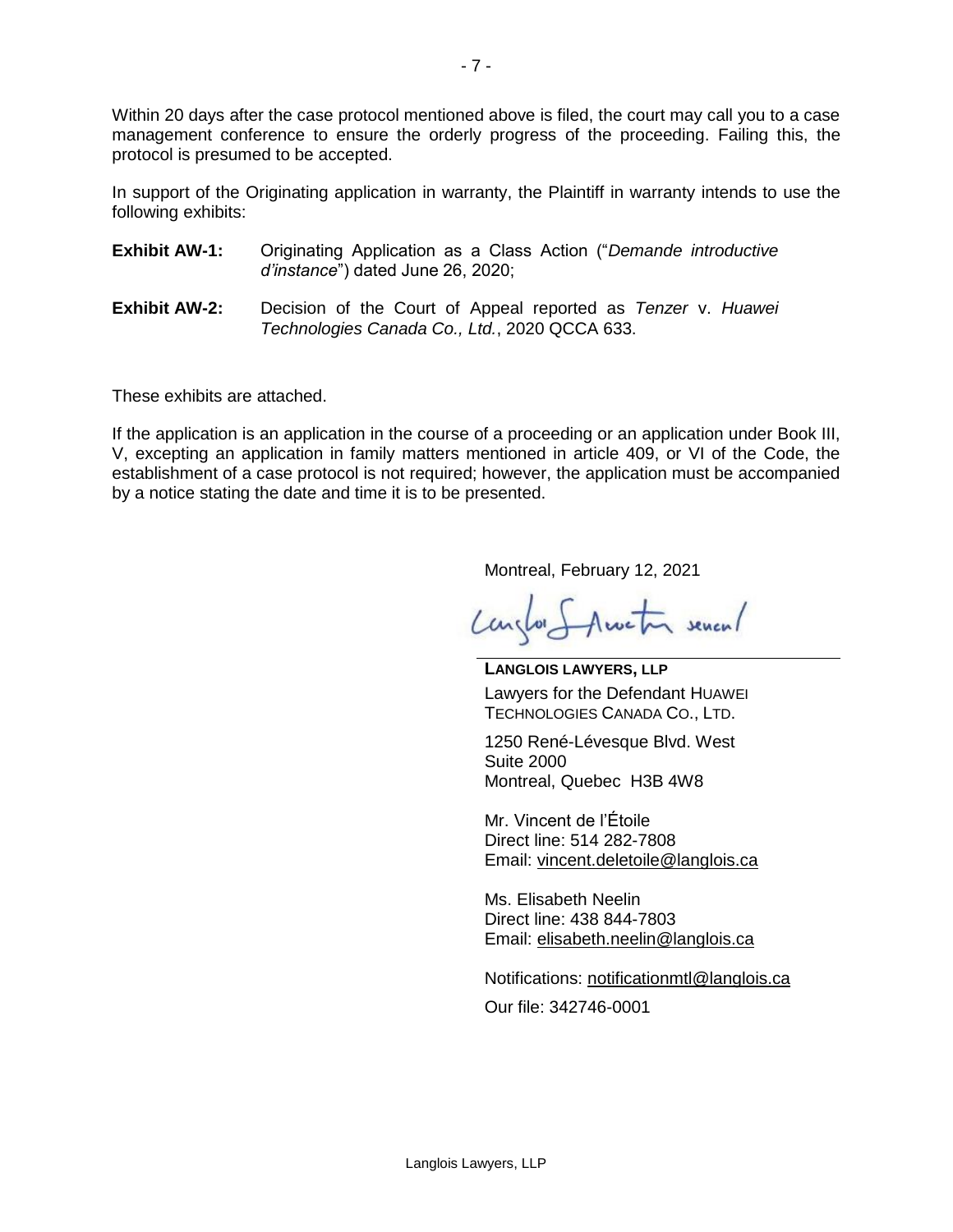Within 20 days after the case protocol mentioned above is filed, the court may call you to a case management conference to ensure the orderly progress of the proceeding. Failing this, the protocol is presumed to be accepted.

In support of the Originating application in warranty, the Plaintiff in warranty intends to use the following exhibits:

| <b>Exhibit AW-1:</b> |                                   |  |  | Originating Application as a Class Action ("Demande introductive |
|----------------------|-----------------------------------|--|--|------------------------------------------------------------------|
|                      | d'instance") dated June 26, 2020; |  |  |                                                                  |

**Exhibit AW-2:** Decision of the Court of Appeal reported as *Tenzer* v. *Huawei Technologies Canada Co., Ltd.*, 2020 QCCA 633.

These exhibits are attached.

If the application is an application in the course of a proceeding or an application under Book III, V, excepting an application in family matters mentioned in article 409, or VI of the Code, the establishment of a case protocol is not required; however, the application must be accompanied by a notice stating the date and time it is to be presented.

Montreal, February 12, 2021

Canglor S Austral seven/

**LANGLOIS LAWYERS, LLP** Lawyers for the Defendant HUAWEI TECHNOLOGIES CANADA CO., LTD.

1250 René-Lévesque Blvd. West Suite 2000 Montreal, Quebec H3B 4W8

Mr. Vincent de l'Étoile Direct line: 514 282-7808 Email: [vincent.deletoile@langlois.ca](mailto:vincent.deletoile@langlois.ca)

Ms. Elisabeth Neelin Direct line: 438 844-7803 Email: [elisabeth.neelin@langlois.ca](mailto:elisabeth.neelin@langlois.ca)

Notifications: [notificationmtl@langlois.ca](mailto:notificationmtl@langlois.ca)

Our file: 342746-0001